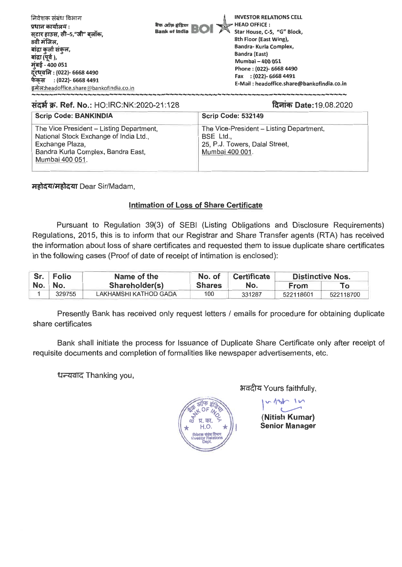| निवेशक संबंध विभाग<br>प्रधान कार्यालय :<br>सटार हाउस, सी–5,"जी" बलॉक,<br>8वी मंजिल,<br>बांद्रा कुर्ला संकल,<br>बांद्रा (पूर्व ),<br>मुंबई - 400 051<br>दूरध्वनि : (022)- 6668 4490<br>फेंकस: (022)- 6668 4491<br>इमेल:headoffice.share@bankofindia.co.in | <b>INVESTOR RELATIONS CELL</b><br>HEAD OFFICE:<br>बैंक आँक्र इंडिया<br><b>Bank of India BOI</b><br>Star House, C-5, "G" Block,<br>8th Floor (East Wing),<br>Bandra- Kurla Complex,<br><b>Bandra (East)</b><br>Mumbai - 400 051<br>Phone: (022)- 6668 4490<br>Fax : (022)- 6668 4491<br>E-Mail: headoffice.share@bankofindia.co.in |
|----------------------------------------------------------------------------------------------------------------------------------------------------------------------------------------------------------------------------------------------------------|-----------------------------------------------------------------------------------------------------------------------------------------------------------------------------------------------------------------------------------------------------------------------------------------------------------------------------------|
|----------------------------------------------------------------------------------------------------------------------------------------------------------------------------------------------------------------------------------------------------------|-----------------------------------------------------------------------------------------------------------------------------------------------------------------------------------------------------------------------------------------------------------------------------------------------------------------------------------|

## संदर्भ क्र. Ref. No.: HO:IRC:NK:2020-21:128

दिनांक Date: 19.08.2020

| <b>Scrip Code: BANKINDIA</b>                                                                                                                                   | <b>Scrip Code: 532149</b>                                                                                  |
|----------------------------------------------------------------------------------------------------------------------------------------------------------------|------------------------------------------------------------------------------------------------------------|
| The Vice President - Listing Department,<br>National Stock Exchange of India Ltd.,<br>Exchange Plaza,<br>Bandra Kurla Complex, Bandra East,<br>Mumbai 400 051. | The Vice-President - Listing Department,<br>BSE Ltd.,<br>25, P.J. Towers, Dalal Street,<br>Mumbai 400 001. |

महोदय/महोदया Dear Sir/Madam,

## **Intimation of Loss of Share Certificate**

Pursuant to Regulation 39(3) of SEBI (Listing Obligations and Disclosure Reguirements) Regulations, 2015, this is to inform that our Registrar and Share Transfer agents (RTA) has received the information about loss of share certificates and requested them to issue duplicate share certificates in the following cases (Proof of date of receipt of intimation is enclosed):

|                     | Sr.   Folio<br>Name of the |                       | No. of        | <b>Certificate</b> | <b>Distinctive Nos.</b> |           |
|---------------------|----------------------------|-----------------------|---------------|--------------------|-------------------------|-----------|
| $No. \parallel No.$ |                            | Shareholder(s)        | <b>Shares</b> | No.                | <b>From</b>             |           |
|                     | 329755                     | LAKHAMSHI KATHOD GADA | 100           | 331287             | 522118601               | 522118700 |

Presently Bank has received only request letters / emails for procedure for obtaining duplicate share certificates

Bank shall initiate the process for Issuance of Duplicate Share Certificate only after receipt of requisite documents and completion of formalities like newspaper advertisements, etc.

धन्यवाद Thanking you,

अवदीय Yours faithfully,

(Nitish Kumar) **Senior Manager**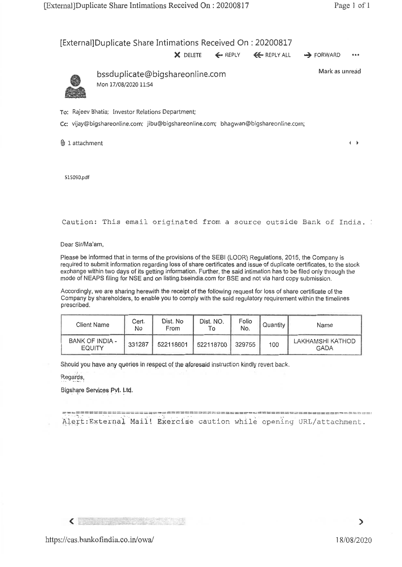$\leftarrow$ 

## [External]Duplicate Share Intimations Received On : 20200817

**X** DELETE 4- REPLY 44. REPLY ALL **.4** FORWARD

Mark as unread



bssduplicate@bigshareonline.com Mon 17/08/2020 11:54

To: Rajeev Bhatia; Investor Relations Department;

Cc: vijay@bigshareonline.com; jibu©bigshareonline.com; bhagwan@bigshareonline.com;

0 1 attachment

515090.0f

Caution: This email originated from a source outside Bank of India.

Dear Sir/Ma'am,

Please be informed that in terms of the provisions of the SEBI (LODR) Regulations, 2015, the Company is required to submit information regarding loss of share certificates and issue of duplicate certificates, to the stock exchange within two days of its getting information. Further, the said intimation has to be filed only through the mode of NEAPS filing for NSE and on listing.bseindia.com for BSE and not via hard copy submission.

Accordingly, we are sharing herewith the receipt of the following request for loss of share certificate of the Company by shareholders, to enable you to comply with the said regulatory requirement within the timelines prescribed.

| Client Name                      | Cert.<br>No | Dist. No<br>From | Dist. NO.<br>۱o | Folio<br>No. | <sup>1</sup> Quantity 1 | Name                            |
|----------------------------------|-------------|------------------|-----------------|--------------|-------------------------|---------------------------------|
| BANK OF INDIA -<br><b>EQUITY</b> | 331287      | 522118601        | 522118700       | 329755       | 100                     | LAKHAMSHI KATHOD<br><b>GADA</b> |

Should you have any queries in respect of the aforesaid instruction kindly revert back.

Regards,

eigshare Services Pyt. Ltd.

Alert:External Mail! Exercise caution while opening URL/attachment.

 $\langle$  in the  $\langle$ 

 $\blacktriangleright$